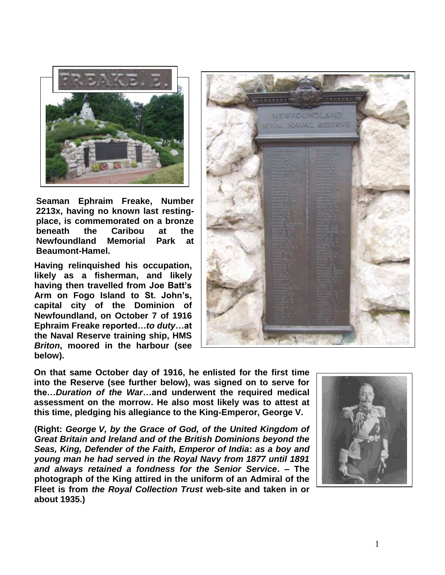

**Seaman Ephraim Freake, Number 2213x, having no known last restingplace, is commemorated on a bronze beneath the Caribou at the Newfoundland Memorial Park at Beaumont-Hamel.**

**Having relinquished his occupation, likely as a fisherman, and likely having then travelled from Joe Batt's Arm on Fogo Island to St. John's, capital city of the Dominion of Newfoundland, on October 7 of 1916 Ephraim Freake reported…***to duty***…at the Naval Reserve training ship, HMS**  *Briton***, moored in the harbour (see below).**



**On that same October day of 1916, he enlisted for the first time into the Reserve (see further below), was signed on to serve for the…***Duration of the War***…and underwent the required medical assessment on the morrow. He also most likely was to attest at this time, pledging his allegiance to the King-Emperor, George V.**

**(Right:** *George V, by the Grace of God, of the United Kingdom of Great Britain and Ireland and of the British Dominions beyond the Seas, King, Defender of the Faith, Emperor of India***:** *as a boy and young man he had served in the Royal Navy from 1877 until 1891 and always retained a fondness for the Senior Service***. – The photograph of the King attired in the uniform of an Admiral of the Fleet is from** *the Royal Collection Trust* **web-site and taken in or about 1935.)**

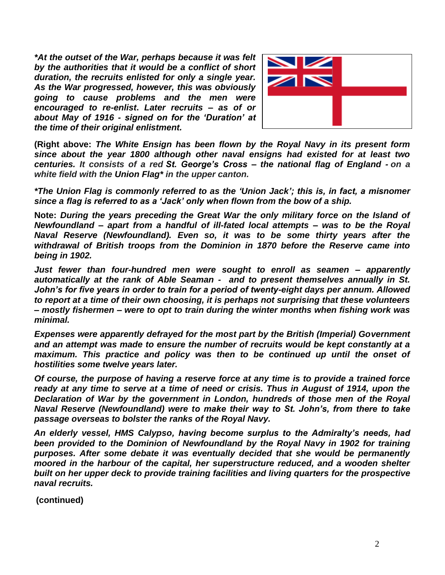*\*At the outset of the War, perhaps because it was felt by the authorities that it would be a conflict of short duration, the recruits enlisted for only a single year. As the War progressed, however, this was obviously going to cause problems and the men were encouraged to re-enlist***.** *Later recruits – as of or about May of 1916 - signed on for the 'Duration' at the time of their original enlistment.*



**(Right above:** *The White Ensign has been flown by the Royal Navy in its present form since about the year 1800 although other naval ensigns had existed for at least two centuries. It consists of a red St. George's Cross – the national flag of England - on a white field with the Union Flag\* in the upper canton.*

*\*The Union Flag is commonly referred to as the 'Union Jack'; this is, in fact, a misnomer since a flag is referred to as a 'Jack' only when flown from the bow of a ship.* 

**Note:** *During the years preceding the Great War the only military force on the Island of Newfoundland – apart from a handful of ill-fated local attempts – was to be the Royal Naval Reserve (Newfoundland). Even so, it was to be some thirty years after the withdrawal of British troops from the Dominion in 1870 before the Reserve came into being in 1902.* 

*Just fewer than four-hundred men were sought to enroll as seamen – apparently automatically at the rank of Able Seaman - and to present themselves annually in St. John's for five years in order to train for a period of twenty-eight days per annum. Allowed to report at a time of their own choosing, it is perhaps not surprising that these volunteers – mostly fishermen – were to opt to train during the winter months when fishing work was minimal.*

*Expenses were apparently defrayed for the most part by the British (Imperial) Government and an attempt was made to ensure the number of recruits would be kept constantly at a maximum. This practice and policy was then to be continued up until the onset of hostilities some twelve years later.*

*Of course, the purpose of having a reserve force at any time is to provide a trained force ready at any time to serve at a time of need or crisis. Thus in August of 1914, upon the Declaration of War by the government in London, hundreds of those men of the Royal Naval Reserve (Newfoundland) were to make their way to St. John's, from there to take passage overseas to bolster the ranks of the Royal Navy.*

*An elderly vessel, HMS Calypso, having become surplus to the Admiralty's needs, had been provided to the Dominion of Newfoundland by the Royal Navy in 1902 for training purposes. After some debate it was eventually decided that she would be permanently moored in the harbour of the capital, her superstructure reduced, and a wooden shelter built on her upper deck to provide training facilities and living quarters for the prospective naval recruits.* 

**(continued)**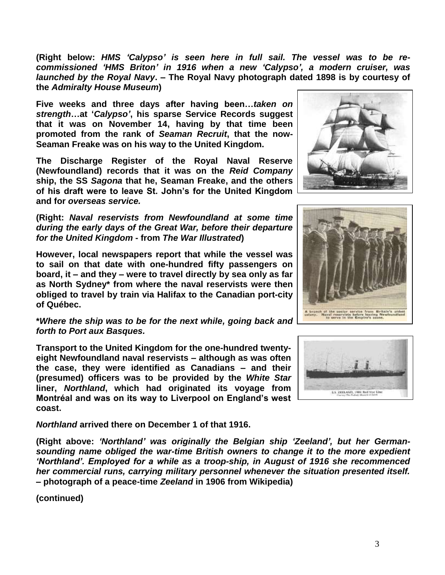**(Right below:** *HMS 'Calypso' is seen here in full sail. The vessel was to be recommissioned 'HMS Briton' in 1916 when a new 'Calypso', a modern cruiser, was launched by the Royal Navy***. – The Royal Navy photograph dated 1898 is by courtesy of the** *Admiralty House Museum***)**

**Five weeks and three days after having been…***taken on strength***…at '***Calypso'***, his sparse Service Records suggest that it was on November 14, having by that time been promoted from the rank of** *Seaman Recruit***, that the now-Seaman Freake was on his way to the United Kingdom.**

**The Discharge Register of the Royal Naval Reserve (Newfoundland) records that it was on the** *Reid Company* **ship, the SS** *Sagona* **that he, Seaman Freake, and the others of his draft were to leave St. John's for the United Kingdom and for** *overseas service.* 

**(Right:** *Naval reservists from Newfoundland at some time during the early days of the Great War, before their departure for the United Kingdom* **- from** *The War Illustrated***)**

**However, local newspapers report that while the vessel was to sail on that date with one-hundred fifty passengers on board, it – and they – were to travel directly by sea only as far as North Sydney\* from where the naval reservists were then obliged to travel by train via Halifax to the Canadian port-city of Québec.**

**\****Where the ship was to be for the next while, going back and forth to Port aux Basques.*

**Transport to the United Kingdom for the one-hundred twentyeight Newfoundland naval reservists – although as was often the case, they were identified as Canadians – and their (presumed) officers was to be provided by the** *White Star* **liner,** *Northland***, which had originated its voyage from Montréal and was on its way to Liverpool on England's west coast.** 

*Northland* **arrived there on December 1 of that 1916.**

**(Right above:** *'Northland' was originally the Belgian ship 'Zeeland', but her Germansounding name obliged the war-time British owners to change it to the more expedient 'Northland'. Employed for a while as a troop-ship, in August of 1916 she recommenced her commercial runs, carrying military personnel whenever the situation presented itself.* **– photograph of a peace-time** *Zeeland* **in 1906 from Wikipedia)**

**(continued)**





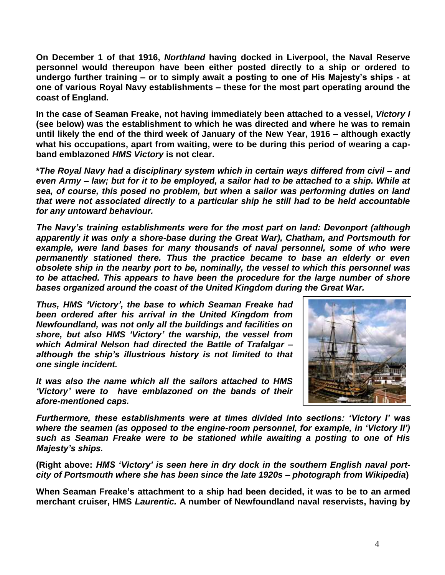**On December 1 of that 1916,** *Northland* **having docked in Liverpool, the Naval Reserve personnel would thereupon have been either posted directly to a ship or ordered to undergo further training – or to simply await a posting to one of His Majesty's ships - at one of various Royal Navy establishments – these for the most part operating around the coast of England.**

**In the case of Seaman Freake, not having immediately been attached to a vessel,** *Victory I* **(see below) was the establishment to which he was directed and where he was to remain until likely the end of the third week of January of the New Year, 1916 – although exactly what his occupations, apart from waiting, were to be during this period of wearing a capband emblazoned** *HMS Victory* **is not clear.**

**\****The Royal Navy had a disciplinary system which in certain ways differed from civil – and even Army – law; but for it to be employed, a sailor had to be attached to a ship. While at sea, of course, this posed no problem, but when a sailor was performing duties on land that were not associated directly to a particular ship he still had to be held accountable for any untoward behaviour.*

*The Navy's training establishments were for the most part on land: Devonport (although apparently it was only a shore-base during the Great War), Chatham, and Portsmouth for*  example, were land bases for many thousands of naval personnel, some of who were *permanently stationed there. Thus the practice became to base an elderly or even obsolete ship in the nearby port to be, nominally, the vessel to which this personnel was to be attached. This appears to have been the procedure for the large number of shore bases organized around the coast of the United Kingdom during the Great War.*

*Thus, HMS 'Victory', the base to which Seaman Freake had been ordered after his arrival in the United Kingdom from Newfoundland, was not only all the buildings and facilities on shore, but also HMS 'Victory' the warship, the vessel from which Admiral Nelson had directed the Battle of Trafalgar – although the ship's illustrious history is not limited to that one single incident.*

*It was also the name which all the sailors attached to HMS 'Victory' were to have emblazoned on the bands of their afore-mentioned caps.*



*Furthermore, these establishments were at times divided into sections: 'Victory I' was where the seamen (as opposed to the engine-room personnel, for example, in 'Victory II') such as Seaman Freake were to be stationed while awaiting a posting to one of His Majesty's ships.*

**(Right above:** *HMS 'Victory' is seen here in dry dock in the southern English naval portcity of Portsmouth where she has been since the late 1920s – photograph from Wikipedia***)**

**When Seaman Freake's attachment to a ship had been decided, it was to be to an armed merchant cruiser, HMS** *Laurentic.* **A number of Newfoundland naval reservists, having by**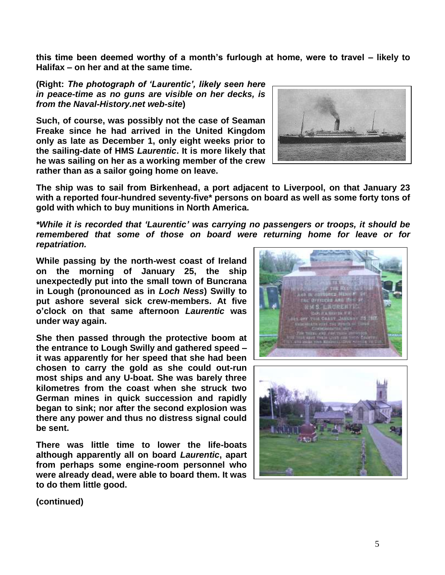**this time been deemed worthy of a month's furlough at home, were to travel – likely to Halifax – on her and at the same time.**

**(Right:** *The photograph of 'Laurentic', likely seen here in peace-time as no guns are visible on her decks, is from the Naval-History.net web-site***)**

**Such, of course, was possibly not the case of Seaman Freake since he had arrived in the United Kingdom only as late as December 1, only eight weeks prior to the sailing-date of HMS** *Laurentic***. It is more likely that he was sailing on her as a working member of the crew rather than as a sailor going home on leave.**



**The ship was to sail from Birkenhead, a port adjacent to Liverpool, on that January 23 with a reported four-hundred seventy-five\* persons on board as well as some forty tons of gold with which to buy munitions in North America.**

*\*While it is recorded that 'Laurentic' was carrying no passengers or troops, it should be remembered that some of those on board were returning home for leave or for repatriation.*

**While passing by the north-west coast of Ireland on the morning of January 25, the ship unexpectedly put into the small town of Buncrana in Lough (pronounced as in** *Loch Ness***) Swilly to put ashore several sick crew-members. At five o'clock on that same afternoon** *Laurentic* **was under way again.**

**She then passed through the protective boom at the entrance to Lough Swilly and gathered speed – it was apparently for her speed that she had been chosen to carry the gold as she could out-run most ships and any U-boat. She was barely three kilometres from the coast when she struck two German mines in quick succession and rapidly began to sink; nor after the second explosion was there any power and thus no distress signal could be sent.**

**There was little time to lower the life-boats although apparently all on board** *Laurentic***, apart from perhaps some engine-room personnel who were already dead, were able to board them. It was to do them little good.**





**(continued)**